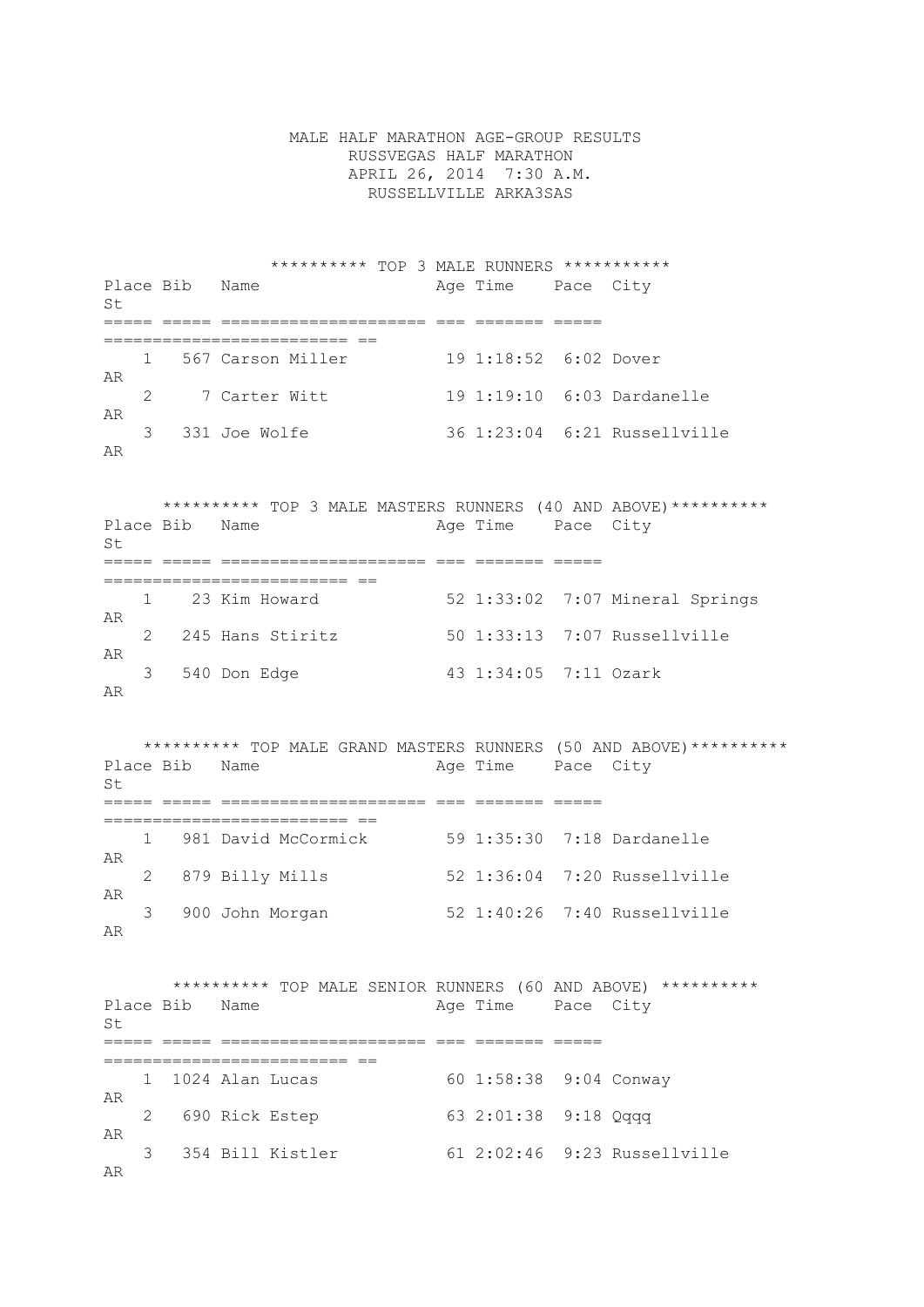MALE HALF MARATHON AGE-GROUP RESULTS RUSSVEGAS HALF MARATHON APRIL 26, 2014 7:30 A.M. RUSSELLVILLE ARKA3SAS

 \*\*\*\*\*\*\*\*\*\* TOP 3 MALE RUNNERS \*\*\*\*\*\*\*\*\*\*\* Place Bib Name and Age Time Pace City  $S<sub>+</sub>$ ===== ===== ===================== === ======= ===== ========================= == 1 567 Carson Miller 19 1:18:52 6:02 Dover AR 2 7 Carter Witt 19 1:19:10 6:03 Dardanelle AR<br>3 331 Joe Wolfe 36 1:23:04 6:21 Russellville AR

 \*\*\*\*\*\*\*\*\*\* TOP 3 MALE MASTERS RUNNERS (40 AND ABOVE)\*\*\*\*\*\*\*\*\*\* Place Bib Name  $\qquad$  Age Time Pace City St ===== ===== ===================== === ======= ===== ========================= == 1 23 Kim Howard 52 1:33:02 7:07 Mineral Springs AR 2 245 Hans Stiritz 50 1:33:13 7:07 Russellville AR 3 540 Don Edge 43 1:34:05 7:11 Ozark AR

\*\*\*\*\*\*\*\*\*\* TOP MALE GRAND MASTERS RUNNERS (50 AND ABOVE)\*\*\*\*\*\*\*\*\*\*\*<br>Place Bib Name age Time Pace City Age Time Pace City  $St$ ===== ===== ===================== === ======= ===== ========================= == 1 981 David McCormick 59 1:35:30 7:18 Dardanelle AR 2 879 Billy Mills 52 1:36:04 7:20 Russellville AR<br>3 900 John Morgan 52 1:40:26 7:40 Russellville AR

 \*\*\*\*\*\*\*\*\*\* TOP MALE SENIOR RUNNERS (60 AND ABOVE) \*\*\*\*\*\*\*\*\*\* Place Bib Name Age Time Pace City  $S<sub>+</sub>$ ===== ===== ===================== === ======= ===== ========================= == 60 1:58:38 9:04 Conway AR 2 690 Rick Estep 63 2:01:38 9:18 Qqqq AR 3 354 Bill Kistler 61 2:02:46 9:23 Russellville AR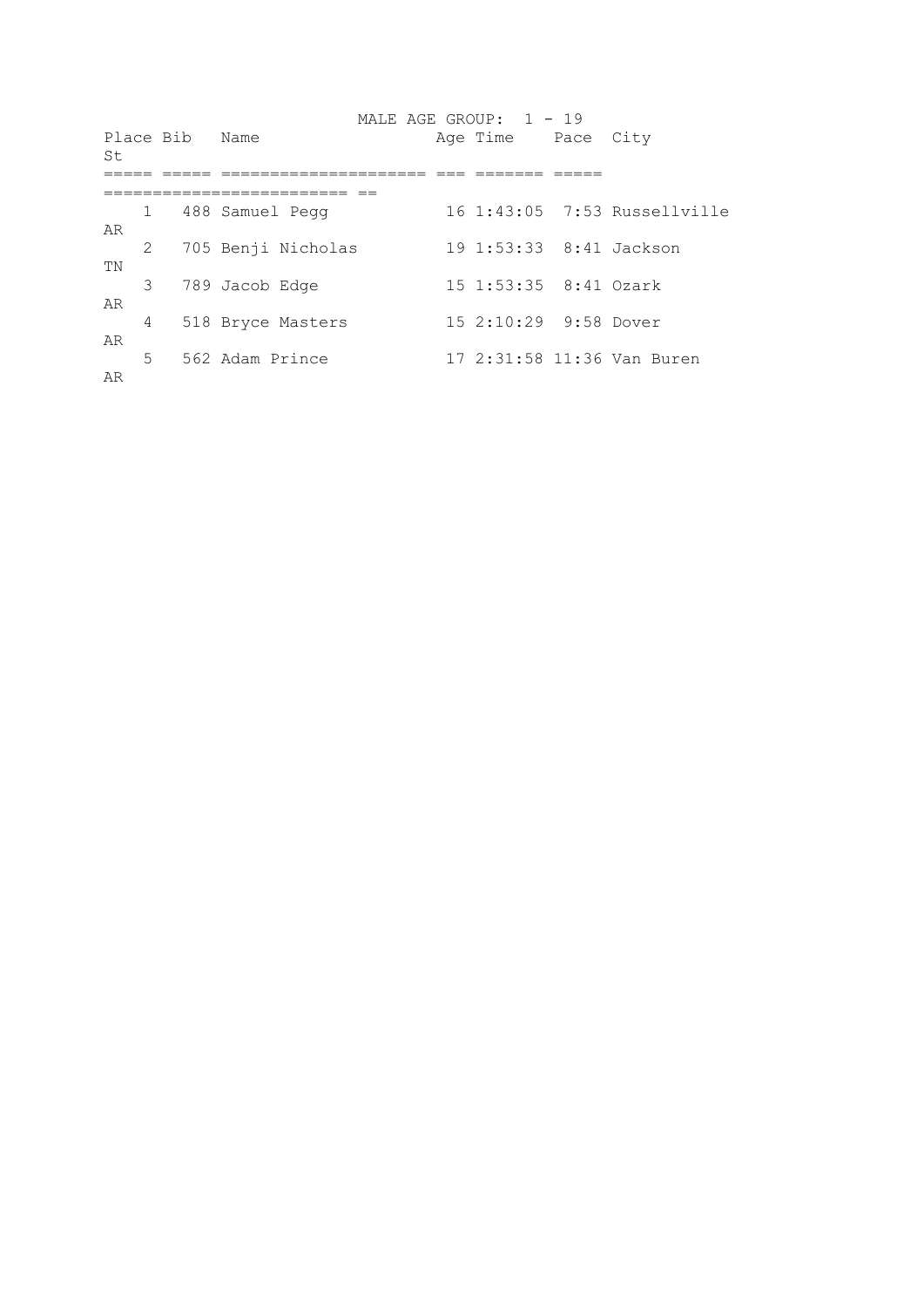| St       |              | Place Bib | Name               |  | MALE AGE GROUP: 1 - 19<br>Age Time Pace City |                              |
|----------|--------------|-----------|--------------------|--|----------------------------------------------|------------------------------|
|          | $\mathbf{1}$ |           | 488 Samuel Pegg    |  |                                              | 16 1:43:05 7:53 Russellville |
| AR       | 2            |           | 705 Benji Nicholas |  | 19 1:53:33 8:41 Jackson                      |                              |
| ΤN       | 3            |           | 789 Jacob Edge     |  | 15 1:53:35 8:41 Ozark                        |                              |
| AR       | 4            |           | 518 Bryce Masters  |  | 15 2:10:29 9:58 Dover                        |                              |
| AR<br>AR | 5            |           | 562 Adam Prince    |  |                                              | 17 2:31:58 11:36 Van Buren   |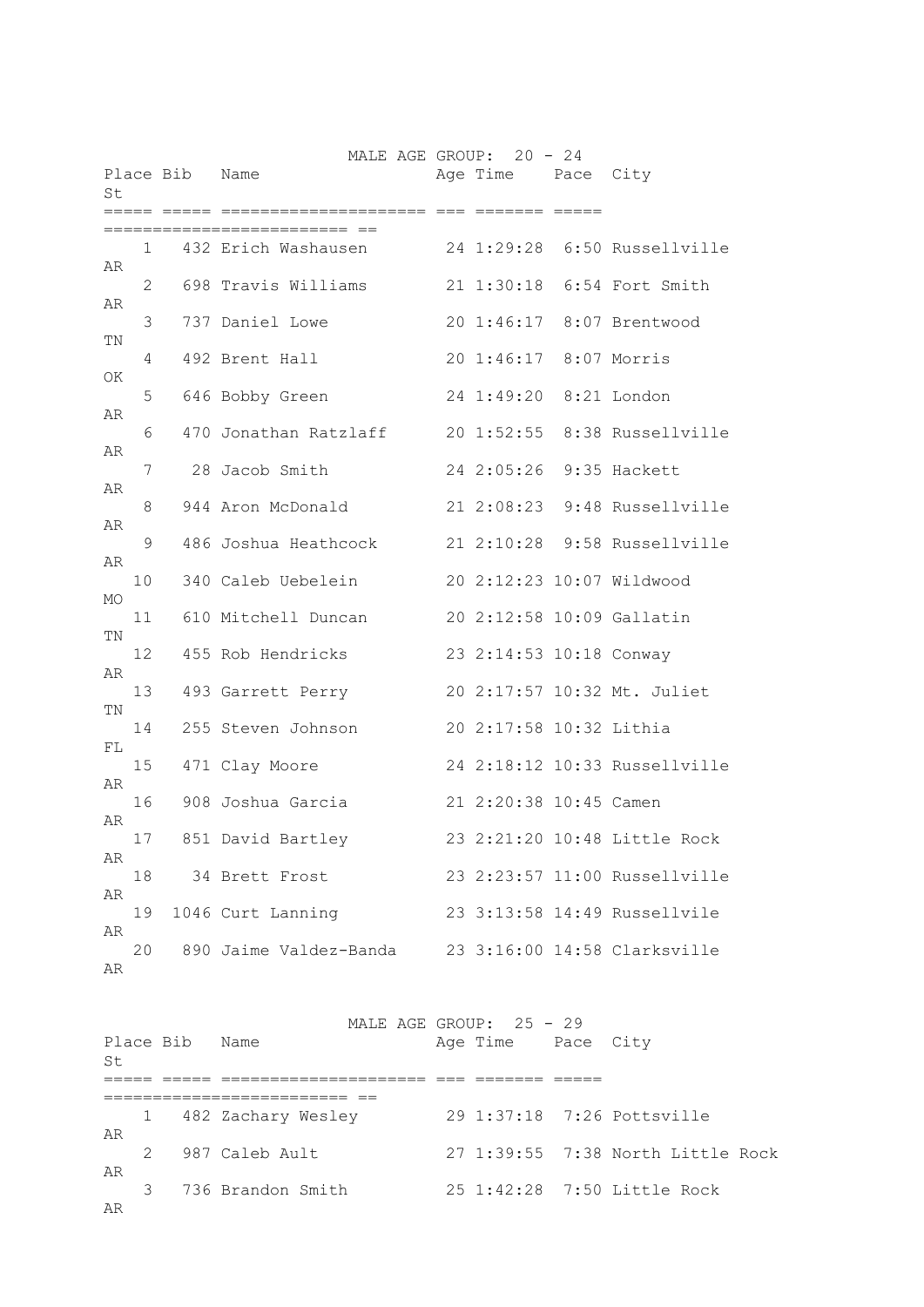| St       |    | Place Bib | MALE AGE GROUP: 20 - 24<br>Name | Age Time Pace City      |                               |
|----------|----|-----------|---------------------------------|-------------------------|-------------------------------|
|          | 1  |           | 432 Erich Washausen             |                         | 24 1:29:28 6:50 Russellville  |
| AR       | 2  |           | 698 Travis Williams             |                         | 21 1:30:18 6:54 Fort Smith    |
| AR       | 3  |           | 737 Daniel Lowe                 |                         | 20 1:46:17 8:07 Brentwood     |
| ΤN       | 4  |           | 492 Brent Hall                  | 20 1:46:17 8:07 Morris  |                               |
| ΟK       | 5  |           | 646 Bobby Green                 | 24 1:49:20              | 8:21 London                   |
| AR       | 6  |           | 470 Jonathan Ratzlaff           | 201:52:55               | 8:38 Russellville             |
| AR       | 7  |           | 28 Jacob Smith                  | 24 2:05:26              | 9:35 Hackett                  |
| AR       | 8  |           | 944 Aron McDonald               |                         | 21 2:08:23 9:48 Russellville  |
| AR       | 9  |           | 486 Joshua Heathcock            |                         | 21 2:10:28 9:58 Russellville  |
| AR       | 10 |           | 340 Caleb Uebelein              |                         | 20 2:12:23 10:07 Wildwood     |
| MO       | 11 |           | 610 Mitchell Duncan             |                         | 20 2:12:58 10:09 Gallatin     |
| ΤN       | 12 |           | 455 Rob Hendricks               | 23 2:14:53 10:18 Conway |                               |
| AR       | 13 |           | 493 Garrett Perry               |                         | 20 2:17:57 10:32 Mt. Juliet   |
| ΤN       | 14 |           | 255 Steven Johnson              | 20 2:17:58 10:32 Lithia |                               |
| FL       | 15 |           | 471 Clay Moore                  |                         | 24 2:18:12 10:33 Russellville |
| AR       | 16 |           | 908 Joshua Garcia               | 21 2:20:38 10:45 Camen  |                               |
| AR       | 17 |           | 851 David Bartley               |                         | 23 2:21:20 10:48 Little Rock  |
| AR       | 18 |           | 34 Brett Frost                  |                         | 23 2:23:57 11:00 Russellville |
| AR       | 19 |           | 1046 Curt Lanning               |                         | 23 3:13:58 14:49 Russellvile  |
| AR<br>AR | 20 |           | 890 Jaime Valdez-Banda          |                         | 23 3:16:00 14:58 Clarksville  |

MALE AGE GROUP: 25 - 29 Place Bib Name **Age Time** Pace City St ===== ===== ===================== === ======= ===== ========================= == 1 482 Zachary Wesley 29 1:37:18 7:26 Pottsville AR<br>2 987 Caleb Ault 27 1:39:55 7:38 North Little Rock AR 3 736 Brandon Smith 25 1:42:28 7:50 Little Rock AR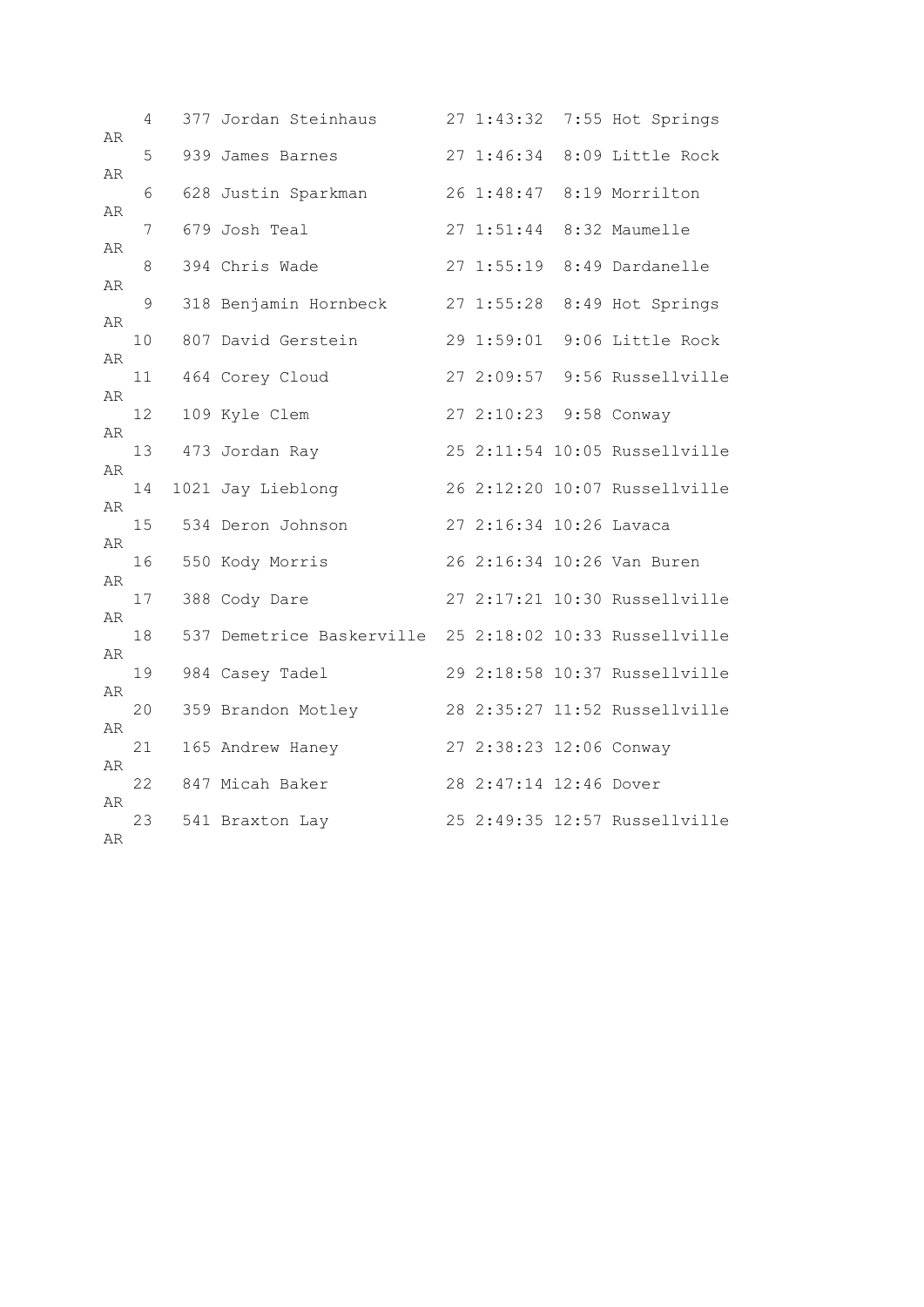| AR         | 4  | 377 Jordan Steinhaus                                    |                         | 27 1:43:32 7:55 Hot Springs   |
|------------|----|---------------------------------------------------------|-------------------------|-------------------------------|
|            | 5  | 939 James Barnes                                        | 27 1:46:34              | 8:09 Little Rock              |
| AR         | 6  | 628 Justin Sparkman                                     | 26 1:48:47              | 8:19 Morrilton                |
| AR         | 7  | 679 Josh Teal                                           | 271:51:44               | 8:32 Maumelle                 |
| AR         | 8  | 394 Chris Wade                                          |                         | 27 1:55:19 8:49 Dardanelle    |
| AR         |    |                                                         |                         |                               |
| AR         | 9  | 318 Benjamin Hornbeck                                   |                         | 27 1:55:28 8:49 Hot Springs   |
| AR         | 10 | 807 David Gerstein                                      | 29 1:59:01              | 9:06 Little Rock              |
|            | 11 | 464 Corey Cloud                                         |                         | 27 2:09:57 9:56 Russellville  |
| AR         | 12 | 109 Kyle Clem                                           | 27 2:10:23 9:58 Conway  |                               |
| ${\tt AR}$ | 13 | 473 Jordan Ray                                          |                         | 25 2:11:54 10:05 Russellville |
| AR         | 14 | 1021 Jay Lieblong                                       |                         | 26 2:12:20 10:07 Russellville |
| AR         |    |                                                         |                         |                               |
| AR         | 15 | 534 Deron Johnson                                       | 27 2:16:34 10:26 Lavaca |                               |
| AR         | 16 | 550 Kody Morris                                         |                         | 26 2:16:34 10:26 Van Buren    |
|            | 17 | 388 Cody Dare                                           |                         | 27 2:17:21 10:30 Russellville |
| AR         | 18 | 537 Demetrice Baskerville 25 2:18:02 10:33 Russellville |                         |                               |
| AR         | 19 | 984 Casey Tadel                                         |                         | 29 2:18:58 10:37 Russellville |
| AR         | 20 | 359 Brandon Motley                                      |                         | 28 2:35:27 11:52 Russellville |
| AR         |    |                                                         |                         |                               |
| AR         | 21 | 165 Andrew Haney                                        | 27 2:38:23 12:06 Conway |                               |
| AR         | 22 | 847 Micah Baker                                         | 28 2:47:14 12:46 Dover  |                               |
|            | 23 | 541 Braxton Lay                                         |                         | 25 2:49:35 12:57 Russellville |
| AR         |    |                                                         |                         |                               |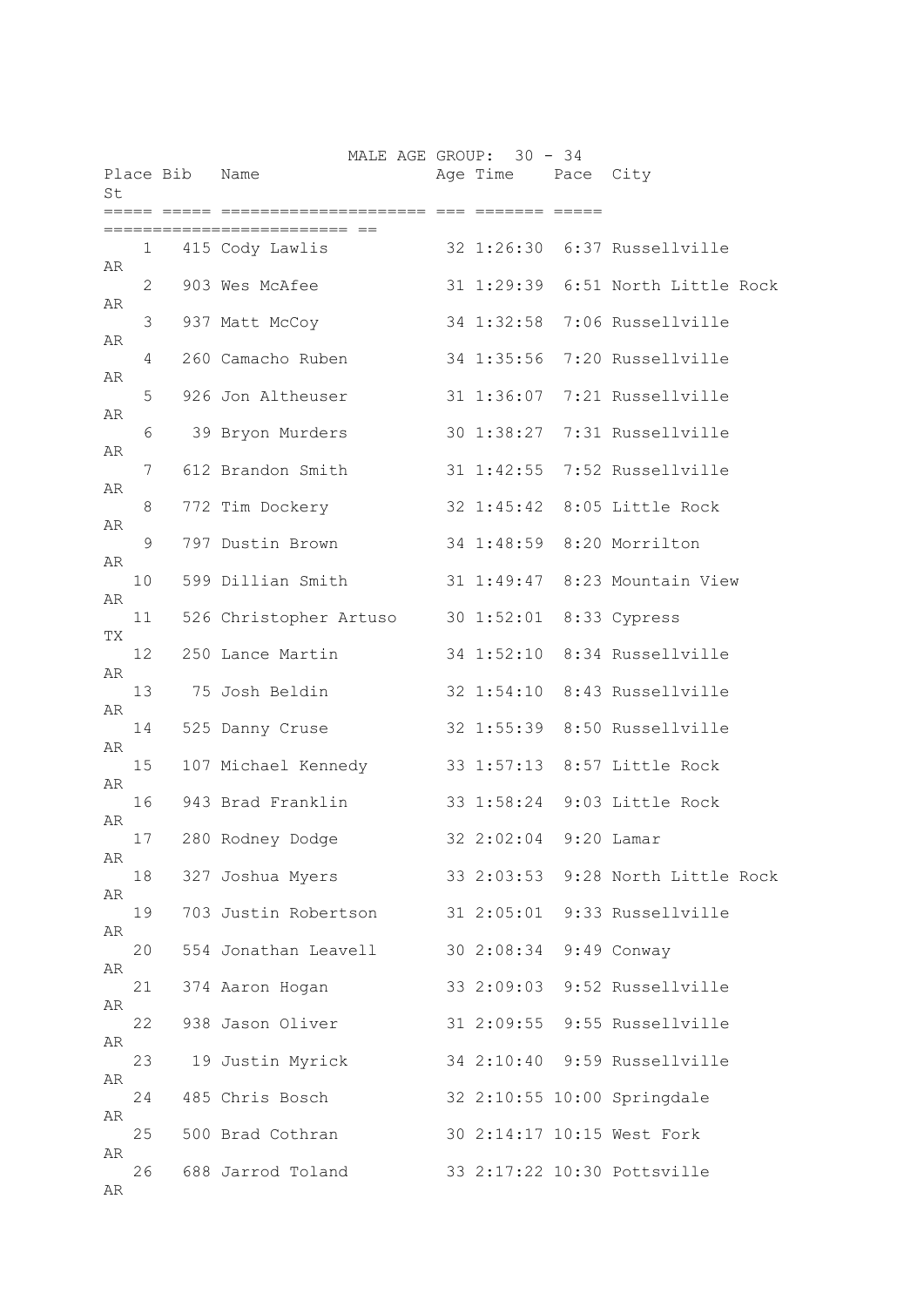| St  |    | Place Bib Name | MALE AGE GROUP: 30 - 34 | Age Time Pace City      |                                   |
|-----|----|----------------|-------------------------|-------------------------|-----------------------------------|
|     |    |                |                         |                         |                                   |
| AR  | 1  |                | 415 Cody Lawlis         |                         | 32 1:26:30 6:37 Russellville      |
|     | 2  |                | 903 Wes McAfee          |                         | 31 1:29:39 6:51 North Little Rock |
| AR  | 3  |                | 937 Matt McCoy          | 34 1:32:58              | 7:06 Russellville                 |
| AR  | 4  |                | 260 Camacho Ruben       | 34 1:35:56              | 7:20 Russellville                 |
| AR  | 5  |                | 926 Jon Altheuser       |                         | 31 1:36:07 7:21 Russellville      |
| AR  | 6  |                | 39 Bryon Murders        |                         | 30 1:38:27 7:31 Russellville      |
| AR  | 7  |                | 612 Brandon Smith       |                         | 31 1:42:55 7:52 Russellville      |
| AR  | 8  |                | 772 Tim Dockery         |                         | 32 1:45:42 8:05 Little Rock       |
| AR  | 9  |                | 797 Dustin Brown        |                         | 34 1:48:59 8:20 Morrilton         |
| AR  | 10 |                | 599 Dillian Smith       |                         | 31 1:49:47 8:23 Mountain View     |
| AR  | 11 |                | 526 Christopher Artuso  | 30 1:52:01 8:33 Cypress |                                   |
| TX. | 12 |                | 250 Lance Martin        |                         | 34 1:52:10 8:34 Russellville      |
| AR  | 13 |                | 75 Josh Beldin          |                         | 32 1:54:10 8:43 Russellville      |
| AR  | 14 |                | 525 Danny Cruse         |                         | 32 1:55:39 8:50 Russellville      |
| AR  | 15 |                | 107 Michael Kennedy     |                         | 33 1:57:13 8:57 Little Rock       |
| AR  | 16 |                | 943 Brad Franklin       |                         | 33 1:58:24 9:03 Little Rock       |
| AR  |    |                |                         |                         |                                   |
| AR  | 17 |                | 280 Rodney Dodge        | 32 2:02:04 9:20 Lamar   |                                   |
| AR  | 18 |                | 327 Joshua Myers        |                         | 33 2:03:53 9:28 North Little Rock |
| AR  | 19 |                | 703 Justin Robertson    |                         | 31 2:05:01 9:33 Russellville      |
| AR  | 20 |                | 554 Jonathan Leavell    | 30 2:08:34 9:49 Conway  |                                   |
| AR  | 21 |                | 374 Aaron Hogan         |                         | 33 2:09:03 9:52 Russellville      |
| AR  | 22 |                | 938 Jason Oliver        |                         | 31 2:09:55 9:55 Russellville      |
| AR  | 23 |                | 19 Justin Myrick        |                         | 34 2:10:40 9:59 Russellville      |
| AR  | 24 |                | 485 Chris Bosch         |                         | 32 2:10:55 10:00 Springdale       |
| AR  | 25 |                | 500 Brad Cothran        |                         | 30 2:14:17 10:15 West Fork        |
| AR  | 26 |                | 688 Jarrod Toland       |                         | 33 2:17:22 10:30 Pottsville       |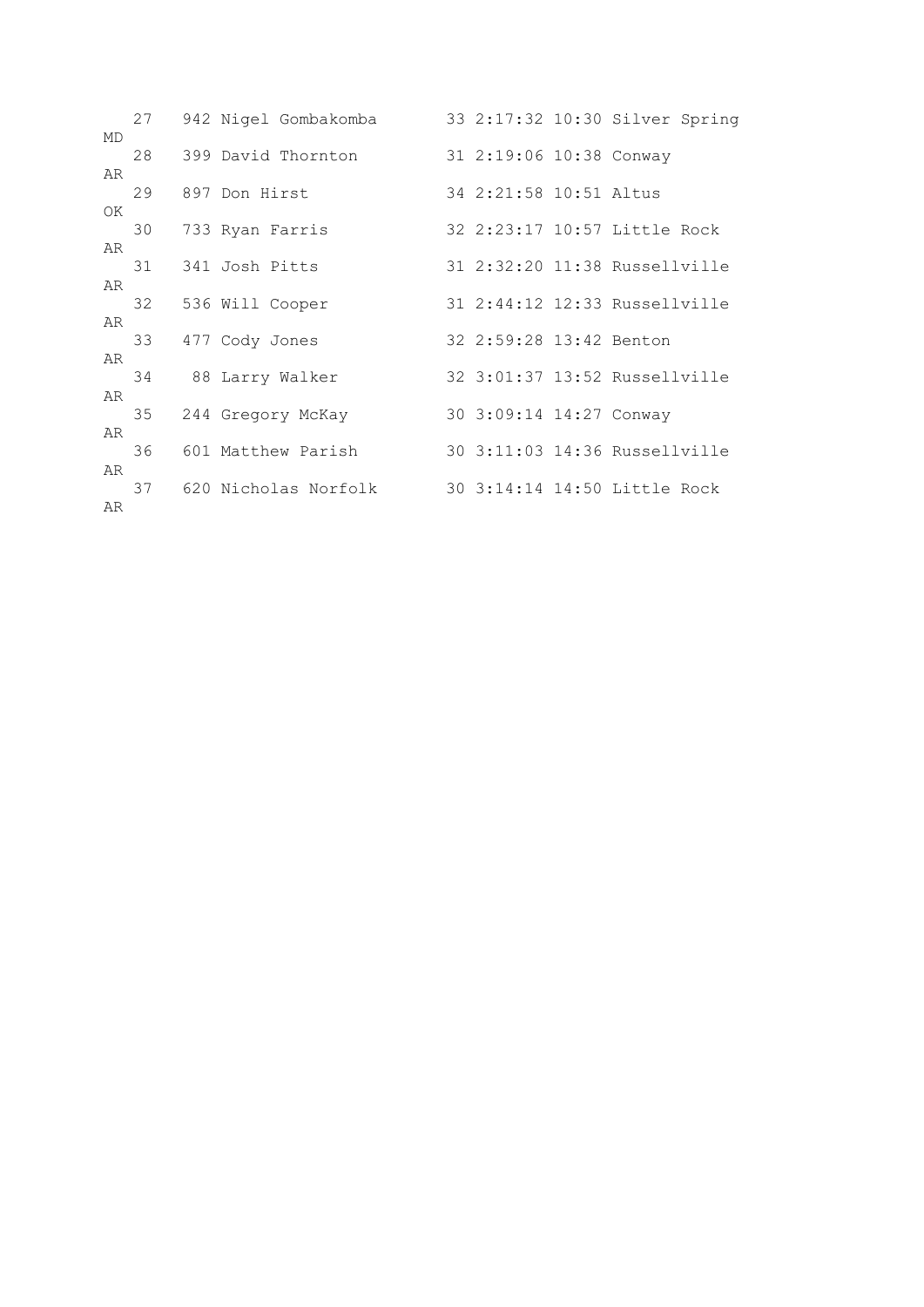|          | 27 | 942 Nigel Gombakomba    |                         | 33 2:17:32 10:30 Silver Spring |
|----------|----|-------------------------|-------------------------|--------------------------------|
| MD       | 28 | 399 David Thornton      | 31 2:19:06 10:38 Conway |                                |
| AR<br>OK | 29 | 897 Don Hirst           | 34 2:21:58 10:51 Altus  |                                |
| AR       | 30 | 733 Ryan Farris         |                         | 32 2:23:17 10:57 Little Rock   |
| AR       | 31 | 341 Josh Pitts          |                         | 31 2:32:20 11:38 Russellville  |
| AR       |    | 32 536 Will Cooper      |                         | 31 2:44:12 12:33 Russellville  |
| AR       | 33 | 477 Cody Jones          | 32 2:59:28 13:42 Benton |                                |
| AR       | 34 | 88 Larry Walker         |                         | 32 3:01:37 13:52 Russellville  |
| AR       | 35 | 244 Gregory McKay       | 30 3:09:14 14:27 Conway |                                |
| AR       | 36 | 601 Matthew Parish      |                         | 30 3:11:03 14:36 Russellville  |
| AR       |    | 37 620 Nicholas Norfolk |                         | 30 3:14:14 14:50 Little Rock   |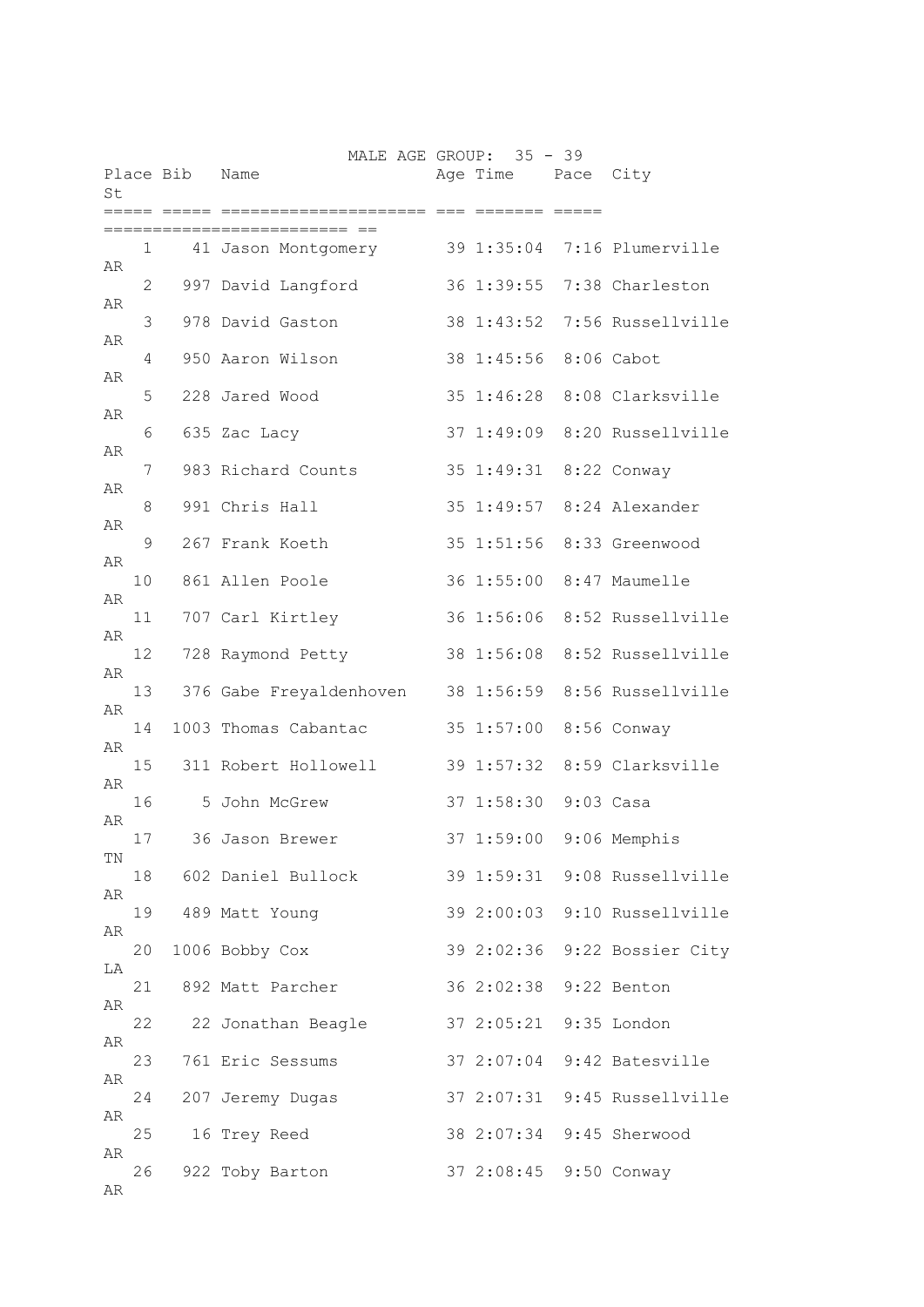| St |    | Place Bib | MALE AGE GROUP: 35 - 39<br>Name | Age Time Pace City     |                              |
|----|----|-----------|---------------------------------|------------------------|------------------------------|
|    |    |           | :=========                      | EEEEEEE EEEEE          |                              |
| AR | 1  |           | 41 Jason Montgomery             |                        | 39 1:35:04 7:16 Plumerville  |
| AR | 2  |           | 997 David Langford              | 36 1:39:55             | 7:38 Charleston              |
|    | 3  |           | 978 David Gaston                | 38 1:43:52             | 7:56 Russellville            |
| AR | 4  |           | 950 Aaron Wilson                | 38 1:45:56             | 8:06 Cabot                   |
| AR | 5  |           | 228 Jared Wood                  | 35 1:46:28             | 8:08 Clarksville             |
| AR | 6  |           | 635 Zac Lacy                    | 37 1:49:09             | 8:20 Russellville            |
| AR | 7  |           | 983 Richard Counts              | 35 1:49:31             | 8:22 Conway                  |
| AR | 8  |           | 991 Chris Hall                  | 35 1:49:57             | 8:24 Alexander               |
| AR | 9  |           | 267 Frank Koeth                 | 35 1:51:56             | 8:33 Greenwood               |
| AR | 10 |           | 861 Allen Poole                 |                        | 36 1:55:00 8:47 Maumelle     |
| AR |    |           |                                 |                        |                              |
| AR | 11 |           | 707 Carl Kirtley                |                        | 36 1:56:06 8:52 Russellville |
| AR | 12 |           | 728 Raymond Petty               | 38 1:56:08             | 8:52 Russellville            |
| AR | 13 |           | 376 Gabe Freyaldenhoven         |                        | 38 1:56:59 8:56 Russellville |
| AR | 14 |           | 1003 Thomas Cabantac            | 35 1:57:00             | 8:56 Conway                  |
| AR | 15 |           | 311 Robert Hollowell            |                        | 39 1:57:32 8:59 Clarksville  |
| AR | 16 |           | 5 John McGrew                   | 37 1:58:30 9:03 Casa   |                              |
|    | 17 |           | 36 Jason Brewer                 | 37 1:59:00             | 9:06 Memphis                 |
| ΤN | 18 |           | 602 Daniel Bullock              |                        | 39 1:59:31 9:08 Russellville |
| AR | 19 |           | 489 Matt Young                  |                        | 39 2:00:03 9:10 Russellville |
| AR | 20 |           | 1006 Bobby Cox                  |                        | 39 2:02:36 9:22 Bossier City |
| LA | 21 |           | 892 Matt Parcher                | 36 2:02:38 9:22 Benton |                              |
| AR | 22 |           | 22 Jonathan Beagle              | 37 2:05:21 9:35 London |                              |
| AR | 23 |           | 761 Eric Sessums                |                        | 37 2:07:04 9:42 Batesville   |
| AR | 24 |           |                                 |                        | 37 2:07:31 9:45 Russellville |
| AR |    |           | 207 Jeremy Dugas                |                        |                              |
| AR | 25 |           | 16 Trey Reed                    |                        | 38 2:07:34 9:45 Sherwood     |
| AR | 26 |           | 922 Toby Barton                 | 37 2:08:45 9:50 Conway |                              |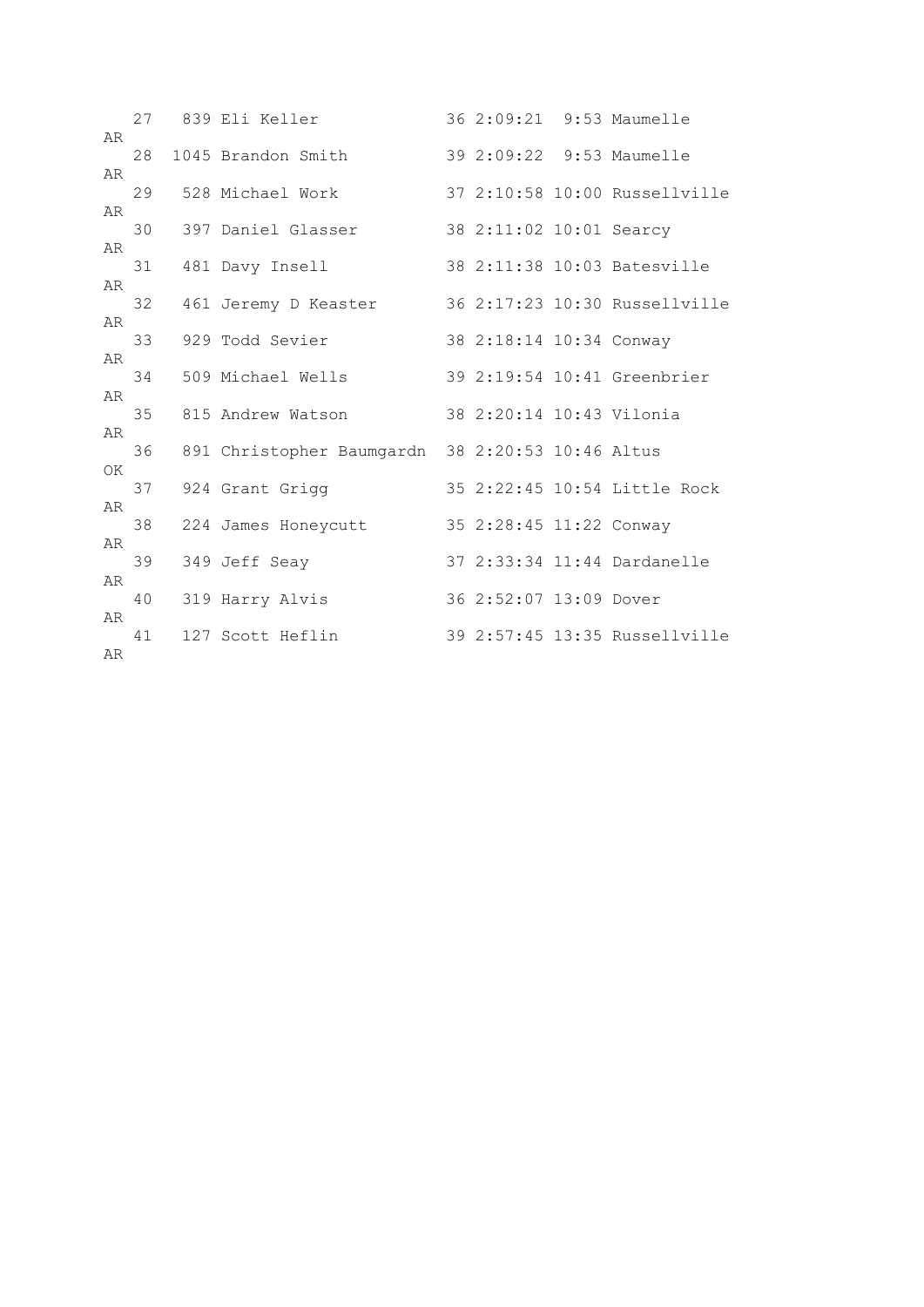| AR |    | 27 839 Eli Keller                                |                          | 36 2:09:21 9:53 Maumelle      |
|----|----|--------------------------------------------------|--------------------------|-------------------------------|
|    | 28 | 1045 Brandon Smith                               |                          | 39 2:09:22 9:53 Maumelle      |
| AR | 29 | 528 Michael Work                                 |                          | 37 2:10:58 10:00 Russellville |
| AR | 30 | 397 Daniel Glasser                               | 38 2:11:02 10:01 Searcy  |                               |
| AR | 31 |                                                  |                          | 38 2:11:38 10:03 Batesville   |
| AR |    | 481 Davy Insell                                  |                          |                               |
| AR | 32 | 461 Jeremy D Keaster                             |                          | 36 2:17:23 10:30 Russellville |
|    | 33 | 929 Todd Sevier                                  | 38 2:18:14 10:34 Conway  |                               |
| AR | 34 | 509 Michael Wells                                |                          | 39 2:19:54 10:41 Greenbrier   |
| AR | 35 | 815 Andrew Watson                                | 38 2:20:14 10:43 Vilonia |                               |
| AR | 36 | 891 Christopher Baumgardn 38 2:20:53 10:46 Altus |                          |                               |
| OK |    |                                                  |                          |                               |
| AR | 37 | 924 Grant Grigg                                  |                          | 35 2:22:45 10:54 Little Rock  |
|    | 38 | 224 James Honeycutt                              | 35 2:28:45 11:22 Conway  |                               |
| AR | 39 | 349 Jeff Seay                                    |                          | 37 2:33:34 11:44 Dardanelle   |
| AR | 40 | 319 Harry Alvis                                  | 36 2:52:07 13:09 Dover   |                               |
| AR |    |                                                  |                          |                               |
| AR | 41 | 127 Scott Heflin                                 |                          | 39 2:57:45 13:35 Russellville |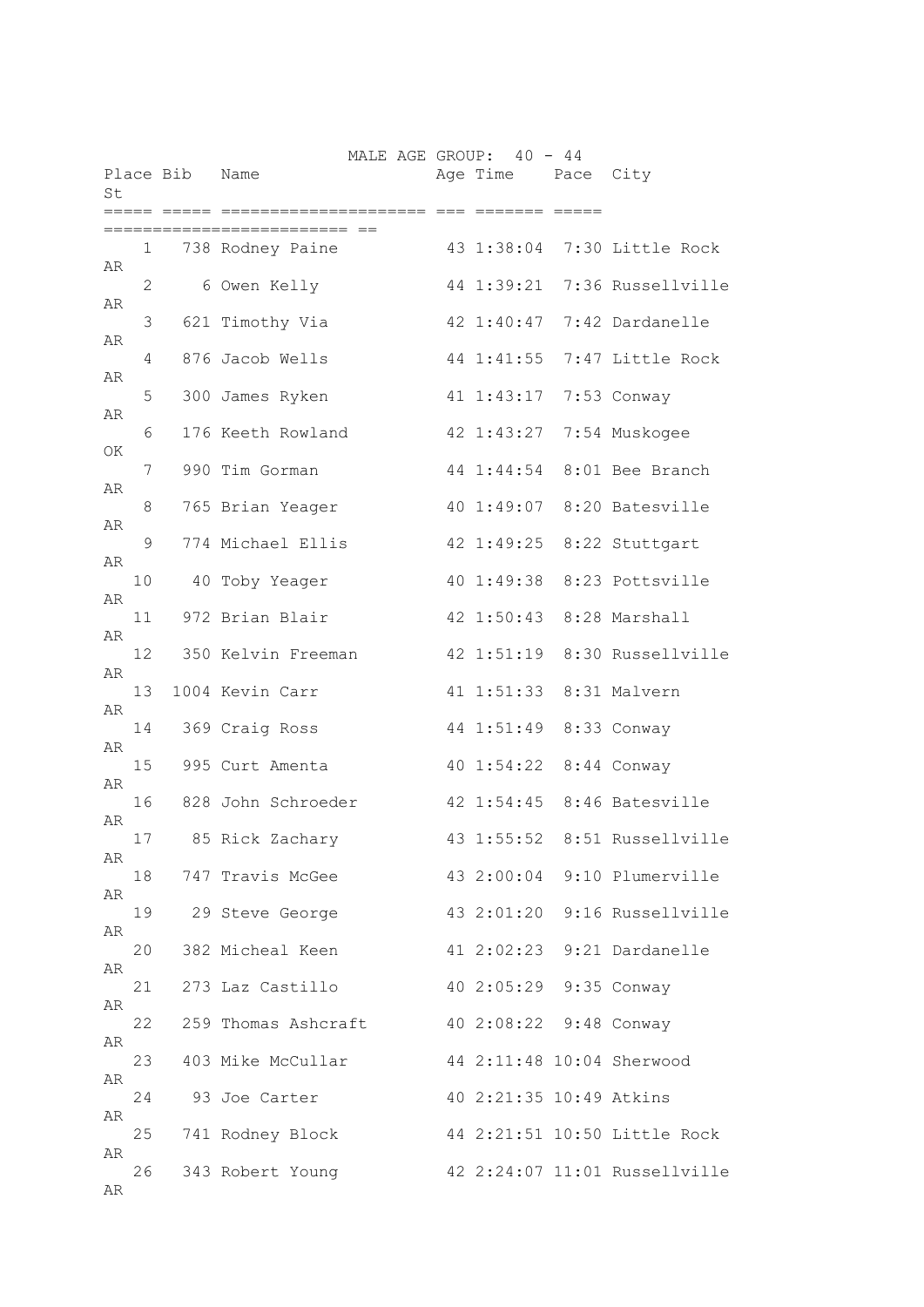| St |              | Place Bib Name | MALE AGE GROUP: 40 - 44 | Age Time Pace City      |                               |
|----|--------------|----------------|-------------------------|-------------------------|-------------------------------|
|    |              |                | === ==                  | ======= =====           |                               |
| AR | $\mathbf{1}$ |                | 738 Rodney Paine        |                         | 43 1:38:04 7:30 Little Rock   |
|    | 2            |                | 6 Owen Kelly            |                         | 44 1:39:21 7:36 Russellville  |
| AR | 3            |                | 621 Timothy Via         |                         | 42 1:40:47 7:42 Dardanelle    |
| AR | 4            |                | 876 Jacob Wells         | 44 1:41:55              | 7:47 Little Rock              |
| AR | 5            |                | 300 James Ryken         | 41 1:43:17              | 7:53 Conway                   |
| AR | 6            |                | 176 Keeth Rowland       |                         | 42 1:43:27 7:54 Muskogee      |
| ΟK | 7            |                | 990 Tim Gorman          |                         | 44 1:44:54 8:01 Bee Branch    |
| AR | 8            |                | 765 Brian Yeager        |                         | 40 1:49:07 8:20 Batesville    |
| AR | 9            |                | 774 Michael Ellis       |                         | 42 1:49:25 8:22 Stuttgart     |
| AR |              |                |                         |                         |                               |
| AR | 10           |                | 40 Toby Yeager          |                         | 40 1:49:38 8:23 Pottsville    |
| AR | 11           |                | 972 Brian Blair         |                         | 42 1:50:43 8:28 Marshall      |
| AR | 12           |                | 350 Kelvin Freeman      |                         | 42 1:51:19 8:30 Russellville  |
| AR | 13           |                | 1004 Kevin Carr         | 41 1:51:33 8:31 Malvern |                               |
| AR | 14           |                | 369 Craig Ross          | 44 1:51:49 8:33 Conway  |                               |
|    | 15           |                | 995 Curt Amenta         | 40 1:54:22 8:44 Conway  |                               |
| AR | 16           |                | 828 John Schroeder      |                         | 42 1:54:45 8:46 Batesville    |
| AR | 17           |                | 85 Rick Zachary         | 43 1:55:52              | 8:51 Russellville             |
| AR | 18           |                | 747 Travis McGee        |                         | 43 2:00:04 9:10 Plumerville   |
| AR | 19           |                | 29 Steve George         |                         | 43 2:01:20 9:16 Russellville  |
| AR | 20           |                | 382 Micheal Keen        |                         | 41 2:02:23 9:21 Dardanelle    |
| AR | 21           |                | 273 Laz Castillo        | 40 2:05:29 9:35 Conway  |                               |
| AR | 22           |                | 259 Thomas Ashcraft     | 40 2:08:22 9:48 Conway  |                               |
| AR |              |                |                         |                         |                               |
| AR | 23           |                | 403 Mike McCullar       |                         | 44 2:11:48 10:04 Sherwood     |
| AR | 24           |                | 93 Joe Carter           | 40 2:21:35 10:49 Atkins |                               |
| AR | 25           |                | 741 Rodney Block        |                         | 44 2:21:51 10:50 Little Rock  |
| AR | 26           |                | 343 Robert Young        |                         | 42 2:24:07 11:01 Russellville |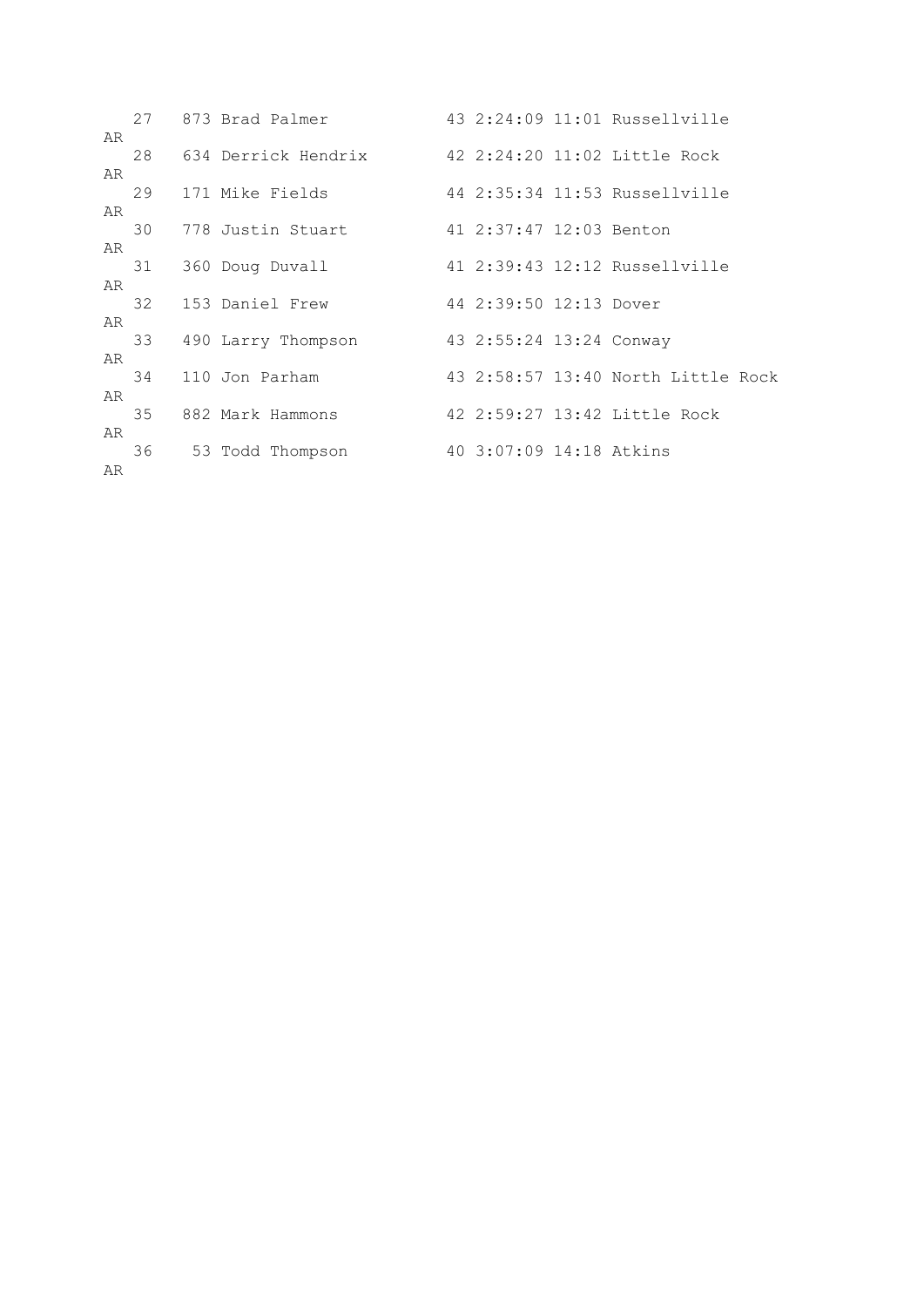|          |    | 27 873 Brad Palmer  |                         | 43 2:24:09 11:01 Russellville      |
|----------|----|---------------------|-------------------------|------------------------------------|
| AR       | 28 | 634 Derrick Hendrix |                         | 42 2:24:20 11:02 Little Rock       |
| AR       | 29 | 171 Mike Fields     |                         | 44 2:35:34 11:53 Russellville      |
| AR       | 30 | 778 Justin Stuart   | 41 2:37:47 12:03 Benton |                                    |
| AR       | 31 | 360 Doug Duvall     |                         | 41 2:39:43 12:12 Russellville      |
| AR       | 32 | 153 Daniel Frew     | 44 2:39:50 12:13 Dover  |                                    |
| AR       | 33 | 490 Larry Thompson  | 43 2:55:24 13:24 Conway |                                    |
| AR       | 34 | 110 Jon Parham      |                         | 43 2:58:57 13:40 North Little Rock |
| AR       | 35 | 882 Mark Hammons    |                         | 42 2:59:27 13:42 Little Rock       |
| AR<br>AR | 36 | 53 Todd Thompson    | 40 3:07:09 14:18 Atkins |                                    |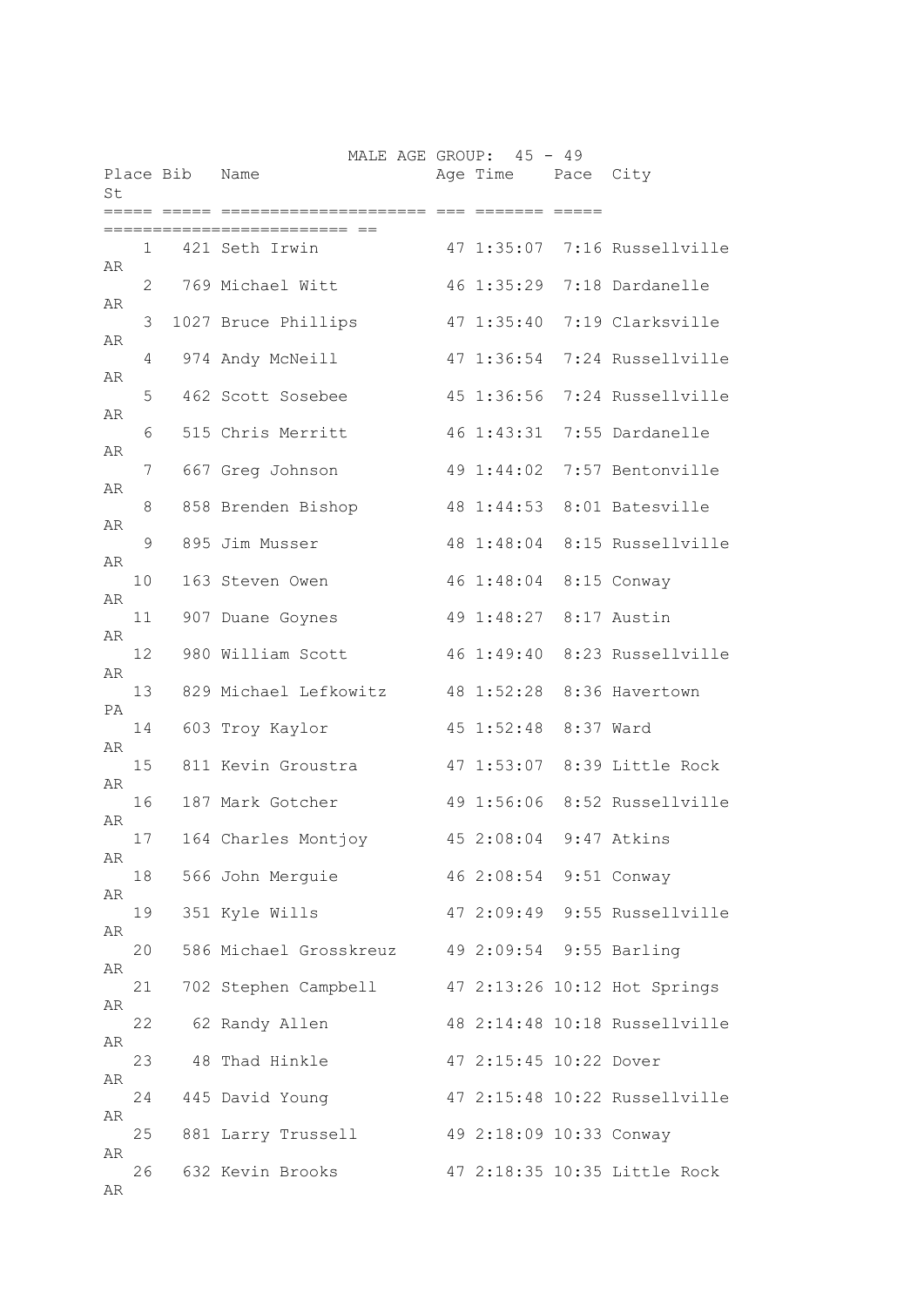| St |    | Place Bib | MALE AGE GROUP: 45 - 49<br>Name                | Age Time Pace City      |           |                               |
|----|----|-----------|------------------------------------------------|-------------------------|-----------|-------------------------------|
|    |    |           |                                                | ====== =====            |           |                               |
| AR | 1  |           | 421 Seth Irwin                                 |                         |           | 47 1:35:07 7:16 Russellville  |
|    | 2  |           | 769 Michael Witt                               | 46 1:35:29              |           | 7:18 Dardanelle               |
| AR | 3  |           | 1027 Bruce Phillips                            | 47 1:35:40              |           | 7:19 Clarksville              |
| AR | 4  |           | 974 Andy McNeill                               | 47 1:36:54              |           | 7:24 Russellville             |
| AR | 5  |           | 462 Scott Sosebee                              | 45 1:36:56              |           | 7:24 Russellville             |
| AR | 6  |           | 515 Chris Merritt                              | 46 1:43:31              |           | 7:55 Dardanelle               |
| AR | 7  |           | 667 Greg Johnson                               | 49 1:44:02              |           | 7:57 Bentonville              |
| AR | 8  |           | 858 Brenden Bishop                             | 48 1:44:53              |           | 8:01 Batesville               |
| AR | 9  |           | 895 Jim Musser                                 | 48 1:48:04              |           | 8:15 Russellville             |
| AR |    |           |                                                |                         |           |                               |
| AR | 10 |           | 163 Steven Owen                                | 46 1:48:04              |           | 8:15 Conway                   |
| AR | 11 |           | 907 Duane Goynes                               | 49 1:48:27 8:17 Austin  |           |                               |
| AR | 12 |           | 980 William Scott                              |                         |           | 46 1:49:40 8:23 Russellville  |
| PA | 13 |           | 829 Michael Lefkowitz                          | 48 1:52:28              |           | 8:36 Havertown                |
| AR | 14 |           | 603 Troy Kaylor                                | 45 1:52:48              | 8:37 Ward |                               |
| AR | 15 |           | 811 Kevin Groustra                             |                         |           | 47 1:53:07 8:39 Little Rock   |
|    | 16 |           | 187 Mark Gotcher                               |                         |           | 49 1:56:06 8:52 Russellville  |
| AR | 17 |           | 164 Charles Montjoy                            | 45 2:08:04 9:47 Atkins  |           |                               |
| AR | 18 |           | 566 John Merguie                               | 46 2:08:54 9:51 Conway  |           |                               |
| AR | 19 |           | 351 Kyle Wills                                 |                         |           | 47 2:09:49 9:55 Russellville  |
| AR | 20 |           | 586 Michael Grosskreuz 49 2:09:54 9:55 Barling |                         |           |                               |
| AR | 21 |           | 702 Stephen Campbell                           |                         |           | 47 2:13:26 10:12 Hot Springs  |
| AR | 22 |           | 62 Randy Allen                                 |                         |           | 48 2:14:48 10:18 Russellville |
| AR | 23 |           | 48 Thad Hinkle                                 |                         |           |                               |
| AR |    |           |                                                | 47 2:15:45 10:22 Dover  |           |                               |
| AR | 24 |           | 445 David Young                                |                         |           | 47 2:15:48 10:22 Russellville |
| AR | 25 |           | 881 Larry Trussell                             | 49 2:18:09 10:33 Conway |           |                               |
| AR | 26 |           | 632 Kevin Brooks                               |                         |           | 47 2:18:35 10:35 Little Rock  |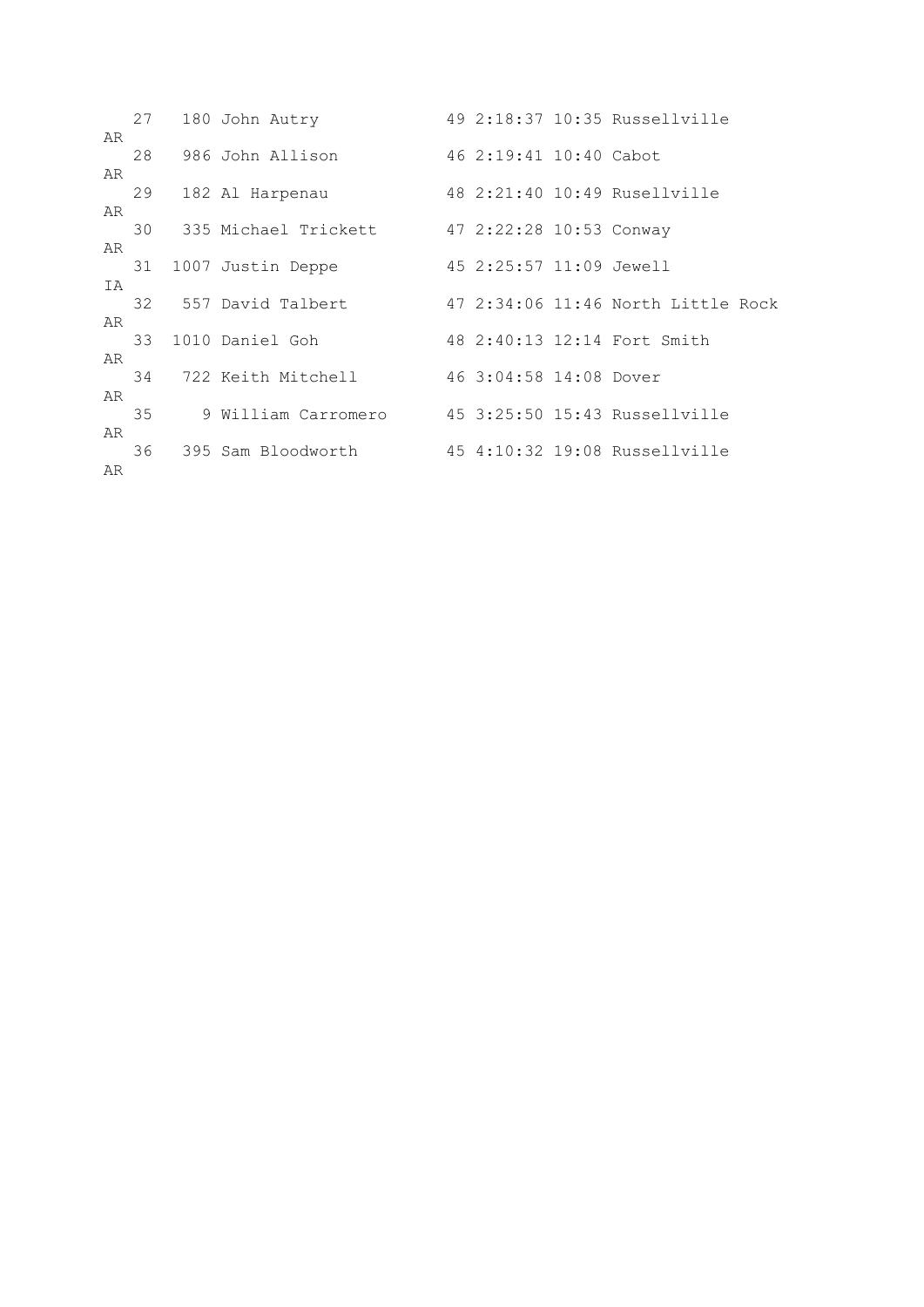|    | 27 | 180 John Autry                               |                         | 49 2:18:37 10:35 Russellville      |
|----|----|----------------------------------------------|-------------------------|------------------------------------|
| AR | 28 | 986 John Allison                             | 46 2:19:41 10:40 Cabot  |                                    |
| AR |    |                                              |                         |                                    |
|    | 29 | 182 Al Harpenau                              |                         | 48 2:21:40 10:49 Rusellyille       |
| AR | 30 | 335 Michael Trickett 47 2:22:28 10:53 Conway |                         |                                    |
| AR |    |                                              |                         |                                    |
| IA | 31 | 1007 Justin Deppe                            | 45 2:25:57 11:09 Jewell |                                    |
|    |    | 32 557 David Talbert                         |                         | 47 2:34:06 11:46 North Little Rock |
| AR | 33 | 1010 Daniel Goh                              |                         | 48 2:40:13 12:14 Fort Smith        |
| AR |    |                                              |                         |                                    |
| AR | 34 | 722 Keith Mitchell                           | 46 3:04:58 14:08 Dover  |                                    |
|    | 35 | 9 William Carromero                          |                         | 45 3:25:50 15:43 Russellville      |
| AR | 36 | 395 Sam Bloodworth                           |                         | 45 4:10:32 19:08 Russellville      |
| AR |    |                                              |                         |                                    |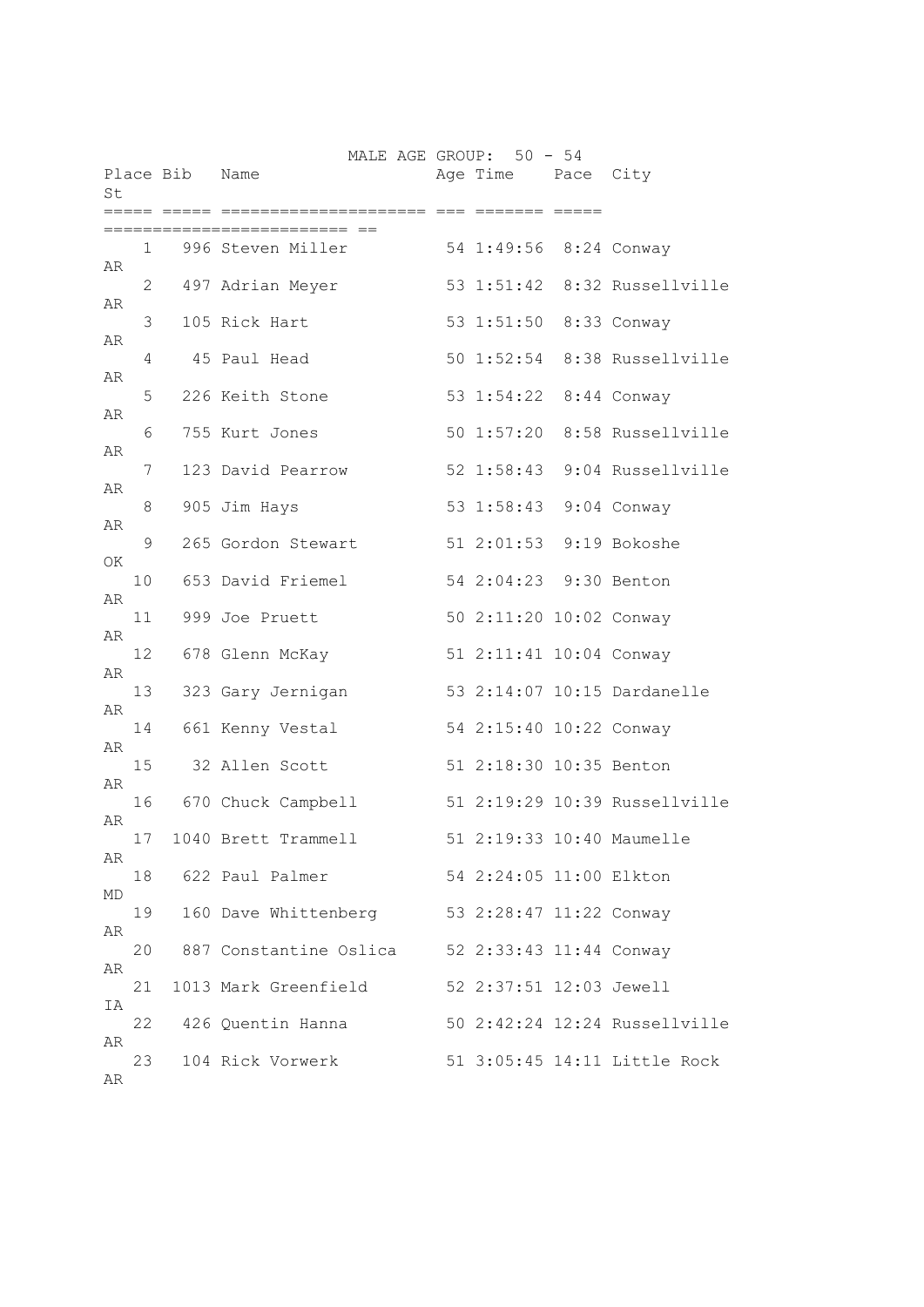|          |              |                | MALE AGE GROUP: 50 - 54           |                                                    |                               |
|----------|--------------|----------------|-----------------------------------|----------------------------------------------------|-------------------------------|
| St       |              | Place Bib Name |                                   | Age Time Pace City                                 |                               |
|          |              |                |                                   | ass seconds acces                                  |                               |
|          | $\mathbf{1}$ |                | 996 Steven Miller                 | 54 1:49:56 8:24 Conway                             |                               |
| AR<br>AR | 2            |                | 497 Adrian Meyer                  |                                                    | 53 1:51:42 8:32 Russellville  |
| AR       | 3            |                | 105 Rick Hart                     | 53 1:51:50 8:33 Conway                             |                               |
| AR       | 4            |                | 45 Paul Head                      |                                                    | 50 1:52:54 8:38 Russellville  |
| AR       | 5.           |                | 226 Keith Stone                   | 53 1:54:22 8:44 Conway                             |                               |
| AR       | 6            |                | 755 Kurt Jones                    |                                                    | 50 1:57:20 8:58 Russellville  |
| AR       | 7            |                | 123 David Pearrow                 | $52$ $1:58:43$                                     | 9:04 Russellville             |
| AR       | 8            |                | 905 Jim Hays                      | 53 1:58:43 9:04 Conway                             |                               |
| OK       | 9            |                | 265 Gordon Stewart                | 51 2:01:53 9:19 Bokoshe                            |                               |
| AR       | 10           |                | 653 David Friemel                 | 54 2:04:23 9:30 Benton                             |                               |
| AR       | 11<br>12     |                | 999 Joe Pruett<br>678 Glenn McKay | 50 2:11:20 10:02 Conway<br>51 2:11:41 10:04 Conway |                               |
| AR       | 13           |                | 323 Gary Jernigan                 |                                                    | 53 2:14:07 10:15 Dardanelle   |
| AR       | 14           |                | 661 Kenny Vestal                  | 54 2:15:40 10:22 Conway                            |                               |
| AR       | 15           |                | 32 Allen Scott                    | 51 2:18:30 10:35 Benton                            |                               |
| AR       | 16           |                | 670 Chuck Campbell                |                                                    | 51 2:19:29 10:39 Russellville |
| AR       | 17           |                | 1040 Brett Trammell               |                                                    | 51 2:19:33 10:40 Maumelle     |
| AR       | 18           |                | 622 Paul Palmer                   | 54 2:24:05 11:00 Elkton                            |                               |
| MD       | 19           |                | 160 Dave Whittenberg              | 53 2:28:47 11:22 Conway                            |                               |
| AR<br>AR | 20           |                | 887 Constantine Oslica            | 52 2:33:43 11:44 Conway                            |                               |
| ΙA       | 21           |                | 1013 Mark Greenfield              | 52 2:37:51 12:03 Jewell                            |                               |
| AR       | 22           |                | 426 Quentin Hanna                 |                                                    | 50 2:42:24 12:24 Russellville |
| AR       | 23           |                | 104 Rick Vorwerk                  |                                                    | 51 3:05:45 14:11 Little Rock  |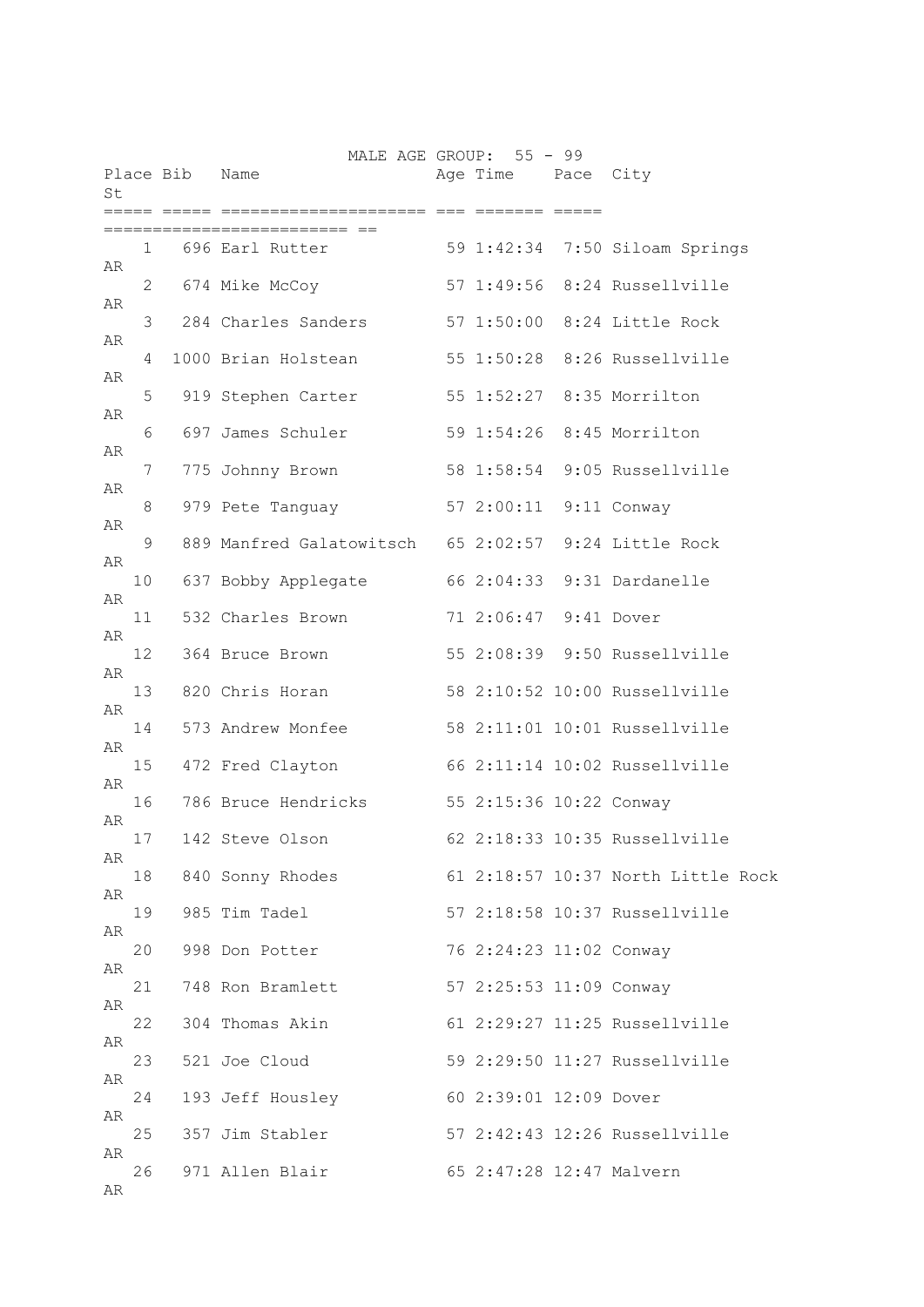| St |    | Place Bib | MALE AGE GROUP: 55 - 99<br>Name                      | Age Time Pace City       |                                    |
|----|----|-----------|------------------------------------------------------|--------------------------|------------------------------------|
|    |    |           | ====== ==                                            | into depende depen       |                                    |
|    |    |           | 1 696 Earl Rutter 59 1:42:34 7:50 Siloam Springs     |                          |                                    |
| AR | 2  |           | 674 Mike McCoy                                       |                          | 57 1:49:56 8:24 Russellville       |
| AR | 3  |           | 284 Charles Sanders                                  |                          | 57 1:50:00 8:24 Little Rock        |
| AR | 4  |           | 1000 Brian Holstean                                  | 55 1:50:28               | 8:26 Russellville                  |
| AR | 5  |           | 919 Stephen Carter                                   | 55 1:52:27               | 8:35 Morrilton                     |
| AR | 6  |           | 697 James Schuler                                    | 59 1:54:26               | 8:45 Morrilton                     |
| AR | 7  |           | 775 Johnny Brown                                     |                          | 58 1:58:54 9:05 Russellville       |
| AR |    |           | 979 Pete Tanguay 57 2:00:11 9:11 Conway              |                          |                                    |
| AR | 8  |           |                                                      |                          |                                    |
| AR | 9  |           | 889 Manfred Galatowitsch 65 2:02:57 9:24 Little Rock |                          |                                    |
| AR | 10 |           | 637 Bobby Applegate                                  |                          | 66 2:04:33 9:31 Dardanelle         |
| AR | 11 |           | 532 Charles Brown                                    | 71 2:06:47 9:41 Dover    |                                    |
| AR | 12 |           | 364 Bruce Brown                                      |                          | 55 2:08:39 9:50 Russellville       |
| AR | 13 |           | 820 Chris Horan                                      |                          | 58 2:10:52 10:00 Russellville      |
|    | 14 |           | 573 Andrew Monfee                                    |                          | 58 2:11:01 10:01 Russellville      |
| AR | 15 |           | 472 Fred Clayton                                     |                          | 66 2:11:14 10:02 Russellville      |
| AR | 16 |           | 786 Bruce Hendricks 55 2:15:36 10:22 Conway          |                          |                                    |
| AR | 17 |           | 142 Steve Olson                                      |                          | 62 2:18:33 10:35 Russellville      |
| AR | 18 |           | 840 Sonny Rhodes                                     |                          | 61 2:18:57 10:37 North Little Rock |
| AR | 19 |           | 985 Tim Tadel                                        |                          | 57 2:18:58 10:37 Russellville      |
| AR | 20 |           | 998 Don Potter                                       | 76 2:24:23 11:02 Conway  |                                    |
| AR |    |           |                                                      |                          |                                    |
| AR | 21 |           | 748 Ron Bramlett                                     | 57 2:25:53 11:09 Conway  |                                    |
| AR | 22 |           | 304 Thomas Akin                                      |                          | 61 2:29:27 11:25 Russellville      |
| AR | 23 |           | 521 Joe Cloud                                        |                          | 59 2:29:50 11:27 Russellville      |
| AR | 24 |           | 193 Jeff Housley                                     | 60 2:39:01 12:09 Dover   |                                    |
| AR | 25 |           | 357 Jim Stabler                                      |                          | 57 2:42:43 12:26 Russellville      |
| AR | 26 |           | 971 Allen Blair                                      | 65 2:47:28 12:47 Malvern |                                    |